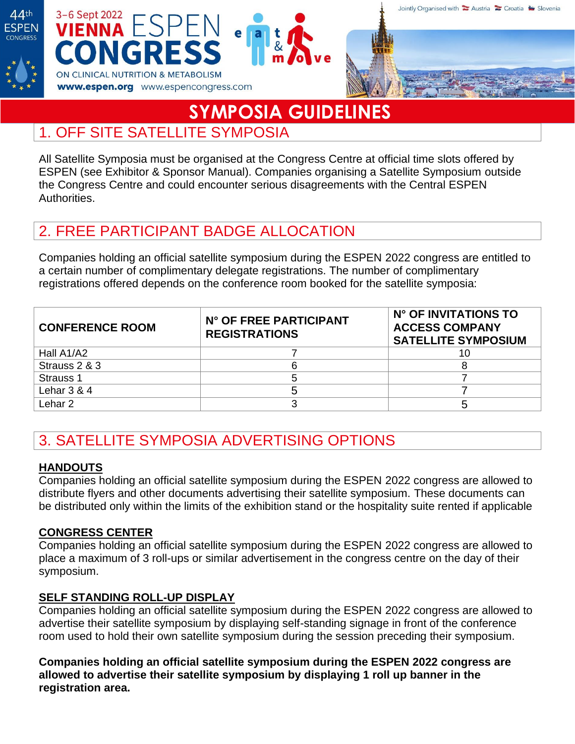





# **SYMPOSIA GUIDELINES**

### 1. OFF SITE SATELLITE SYMPOSIA

All Satellite Symposia must be organised at the Congress Centre at official time slots offered by ESPEN (see Exhibitor & Sponsor Manual). Companies organising a Satellite Symposium outside the Congress Centre and could encounter serious disagreements with the Central ESPEN Authorities.

# 2. FREE PARTICIPANT BADGE ALLOCATION

Companies holding an official satellite symposium during the ESPEN 2022 congress are entitled to a certain number of complimentary delegate registrations. The number of complimentary registrations offered depends on the conference room booked for the satellite symposia:

| <b>CONFERENCE ROOM</b> | N° OF FREE PARTICIPANT<br><b>REGISTRATIONS</b> | N° OF INVITATIONS TO<br><b>ACCESS COMPANY</b><br><b>SATELLITE SYMPOSIUM</b> |
|------------------------|------------------------------------------------|-----------------------------------------------------------------------------|
| Hall A1/A2             |                                                |                                                                             |
| Strauss 2 & 3          |                                                |                                                                             |
| Strauss 1              |                                                |                                                                             |
| Lehar $3 & 4$          |                                                |                                                                             |
| Lehar 2.               |                                                |                                                                             |

# 3. SATELLITE SYMPOSIA ADVERTISING OPTIONS

#### **HANDOUTS**

Companies holding an official satellite symposium during the ESPEN 2022 congress are allowed to distribute flyers and other documents advertising their satellite symposium. These documents can be distributed only within the limits of the exhibition stand or the hospitality suite rented if applicable

#### **CONGRESS CENTER**

Companies holding an official satellite symposium during the ESPEN 2022 congress are allowed to place a maximum of 3 roll-ups or similar advertisement in the congress centre on the day of their symposium.

#### **SELF STANDING ROLL-UP DISPLAY**

Companies holding an official satellite symposium during the ESPEN 2022 congress are allowed to advertise their satellite symposium by displaying self-standing signage in front of the conference room used to hold their own satellite symposium during the session preceding their symposium.

**Companies holding an official satellite symposium during the ESPEN 2022 congress are allowed to advertise their satellite symposium by displaying 1 roll up banner in the registration area.**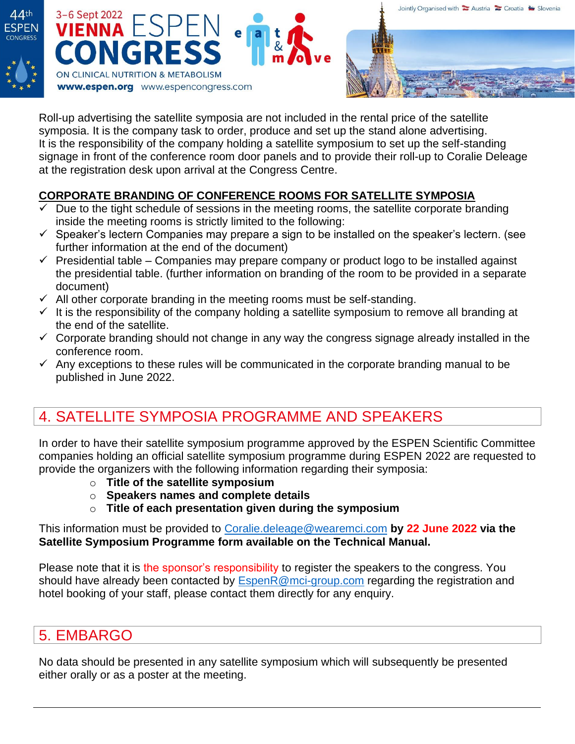





Roll-up advertising the satellite symposia are not included in the rental price of the satellite symposia. It is the company task to order, produce and set up the stand alone advertising. It is the responsibility of the company holding a satellite symposium to set up the self-standing signage in front of the conference room door panels and to provide their roll-up to Coralie Deleage at the registration desk upon arrival at the Congress Centre.

#### **CORPORATE BRANDING OF CONFERENCE ROOMS FOR SATELLITE SYMPOSIA**

- $\checkmark$  Due to the tight schedule of sessions in the meeting rooms, the satellite corporate branding inside the meeting rooms is strictly limited to the following:
- $\checkmark$  Speaker's lectern Companies may prepare a sign to be installed on the speaker's lectern. (see further information at the end of the document)
- $\checkmark$  Presidential table Companies may prepare company or product logo to be installed against the presidential table. (further information on branding of the room to be provided in a separate document)
- $\checkmark$  All other corporate branding in the meeting rooms must be self-standing.
- $\checkmark$  It is the responsibility of the company holding a satellite symposium to remove all branding at the end of the satellite.
- $\checkmark$  Corporate branding should not change in any way the congress signage already installed in the conference room.
- $\checkmark$  Any exceptions to these rules will be communicated in the corporate branding manual to be published in June 2022.

# 4. SATELLITE SYMPOSIA PROGRAMME AND SPEAKERS

In order to have their satellite symposium programme approved by the ESPEN Scientific Committee companies holding an official satellite symposium programme during ESPEN 2022 are requested to provide the organizers with the following information regarding their symposia:

- o **Title of the satellite symposium**
- o **Speakers names and complete details**
- o **Title of each presentation given during the symposium**

This information must be provided to [Coralie.deleage@wearemci.com](mailto:Coralie.deleage@wearemci.com) **by 22 June 2022 via the Satellite Symposium Programme form available on the Technical Manual.**

Please note that it is the sponsor's responsibility to register the speakers to the congress. You should have already been contacted by [EspenR@mci-group.com](mailto:EspenR@mci-group.com) regarding the registration and hotel booking of your staff, please contact them directly for any enquiry.

# 5. EMBARGO

No data should be presented in any satellite symposium which will subsequently be presented either orally or as a poster at the meeting.